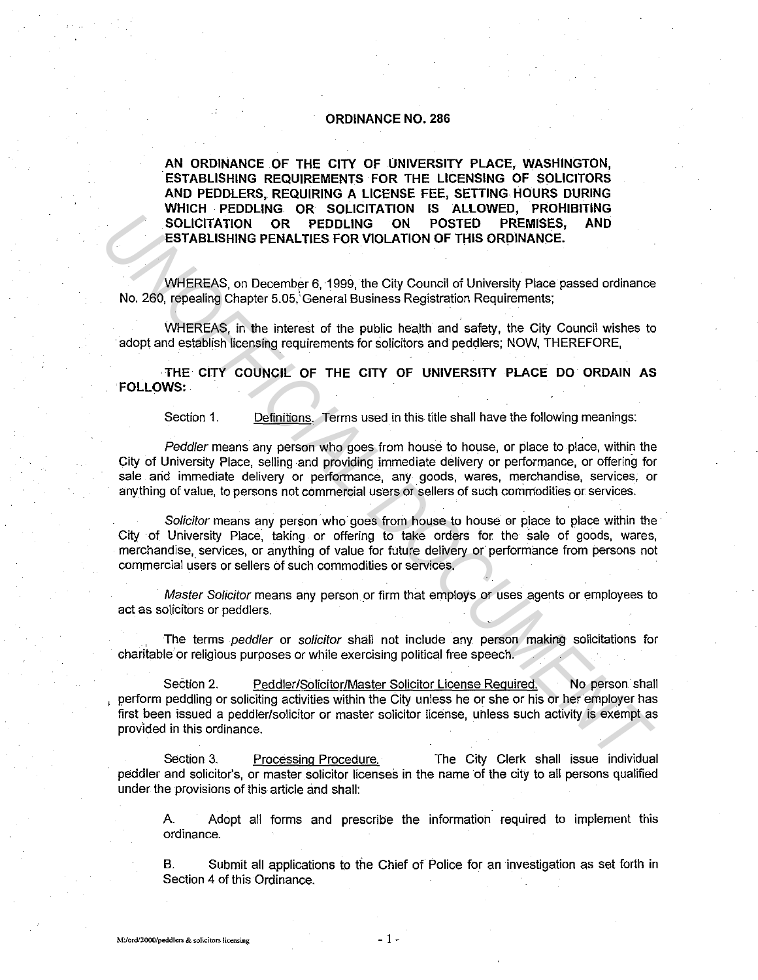## **ORDINANCE NO. 286**

**AN ORDINANCE OF THE CITY OF UNIVERSITY PLACE, WASHINGTON, ESTABLISHING REQUIREMENTS FOR THE LICENSING OF SOLICITORS AND PEDDLERS, REQUIRING A LICENSE FEE, SETTING HOURS DURING WHICH PEDDLING OR SOLICITATION IS ALLOWED, PROHIBITING SOLICITATION OR PEDDLING ON POSTED PREMISES, AND ESTABLISHING PENALTIES FOR VIOLATION OF THIS ORDINANCE.** 

WHEREAS, on December 6, 1999, the City Council of University Place passed ordinance No. 260, repealing Chapter 5.05,' General Business Registration Requirements;

WHEREAS, in the interest of the public health and safety, the City Council wishes to adopt and establish licensing requirements for solicitors and peddlers; NOW, THEREFORE,

**THE CITY COUNCIL OF THE CITY OF UNIVERSITY PLACE DO ORDAIN AS FOLLOWS:** 

Section 1. Definitions. Terms used in this title shall have the following meanings:

Peddler means any person who goes from house to house, or place to place, within the City of University Place, selling and providing immediate delivery or performance, or offering for sale and immediate delivery or performance, any goods, wares, merchandise, services, or anything of value, to persons not commercial users or sellers of such commodities or services.

Solicitor means any person who goes from house to house or place to place within the City of University Place, taking or offering to take orders for the sale of goods, wares, merchandise, services, or anything of value for future delivery or performance from persons not commercial users or sellers of such commodities or services.

Master Solicitor means any person or firm that employs or uses agents or employees to act as solicitors or peddlers.

The terms peddler or solicitor shall not include any person making solicitations for charitable'or religious purposes or while exercising political free speech.

Section 2. Peddler/Solicitor/Master Solicitor License Required. No person shall , perform peddling or soliciting activities within the City unless he or she or his or her employer has first been issued a peddler/solicitor or master solicitor license, unless such activity is exempt as prov'ided in this ordinance. **ESTABLISHING PENALTIES FOR VIOLATION OF THIS ORDINANCE.**<br> **ESTABLISHING PENALTIES FOR VIOLATION OF THIS ORDINANCE.**<br>
WHEREAS, on Decembar 6, 1999, the City Council of University Place passed ordinance<br>
No. 280, repealing

Section 3. Processing Procedure. The City Clerk shall issue individual peddler and solicitor's, or master solicitor licenses in the name of the city to all persons qualified under the provisions of this article and shall:

A Adopt all forms and prescribe the information required to implement this ordinance.

B. Submit all applications to *the* Chief of Police for an investigation as set forth in Section 4 of this Ordinance.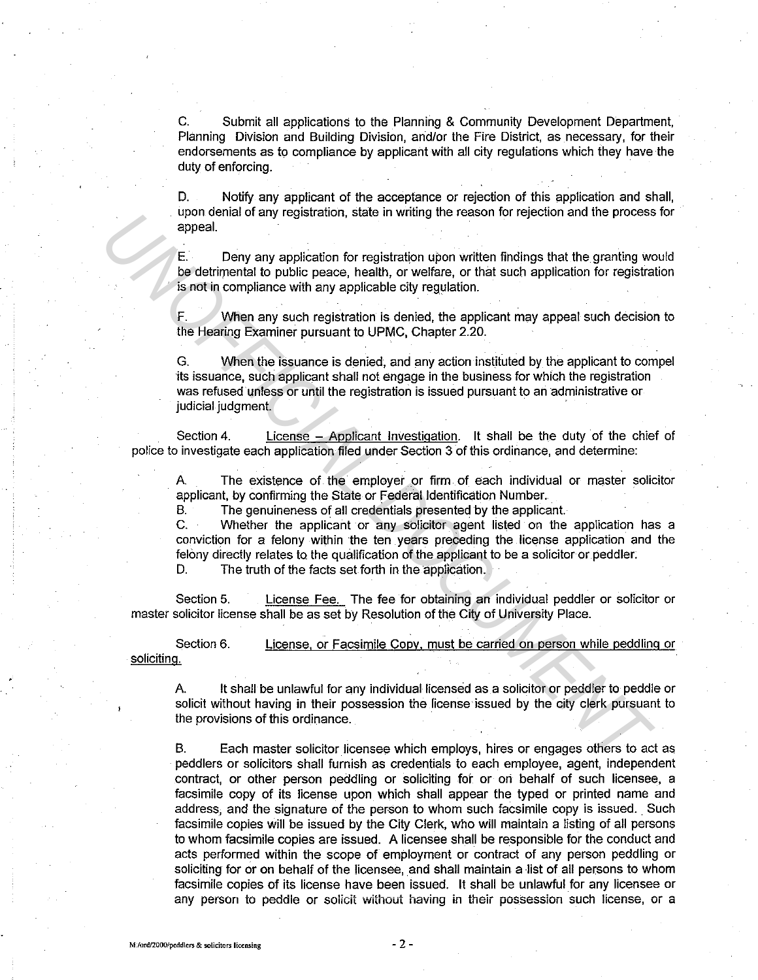C. Submit all applications to the Planning & Community Development Department, Planning Division and Building Division, and/or the Fire District, as necessary, for their endorsements as to compliance by applicant with all city regulations which they have the duty of enforcing.

D. Notify any applicant of the acceptance or rejection of this application and shall, upon denial of any registration, state in writing the reason for rejection and the process for appeal.

E. Deny any application for registration upon written findings that the granting would be detrimental to public peace, health, or welfare, or that such application for registration is not in compliance with any applicable city regulation.

F. When any such registration is denied, the applicant may appeal such decision to the Hearing Examiner pursuant to UPMC, Chapter 2.20.

G. When the issuance is denied, and any action inst\_ituted by the applicant to compel ·its issuance, such applicant shall not engage in the business for which the registration was refused unless or until the registration is issued pursuant to an administrative or judicial judgment. oppeal.<br> **UNCERTY AND ADVENTIFY CONSULTERATIVE CONSULTERATIVE CONSULTERATIVE CONSULTERATIVE CONSULTERATIVE CONSULTERATIVE CONSULTERATIVE CONSULTERATIVE CONSULTERATIVE CONSULTERATIVE CONSULTERATIVE CONSULTERATIVE CONSULTERA** 

Section 4. License - Applicant Investigation. It shall be the duty of the chief of police to investigate each application filed under Section 3 of this ordinance, and determine:

A. The existence of the employer or firm of each individual or master solicitor applicant, by confirming the State or Federal Identification Number.

B. The genuineness of all credentials presented by the applicant.

C. Whether the applicant or any solicitor agent listed on the application has a conviction for a felony within the ten years preceding the license application and the felony directly relates to the qualification of the applicant to be a solicitor or peddler.

D. The truth of the facts set forth in the application.

Section 5. License Fee. The fee for obtaining an individual peddler or solicitor or master solicitor license shall be as set by Resolution of the City of University Place.

Section 6. soliciting. License, or Facsimile Copy, must be carried on person while peddling or

A. It shall be unlawful for any individual licensed as a solicitor or peddler to peddle or solicit without having in their possession the license issued by the city clerk pursuant to the provisions of this ordinance.

B. Each master solicitor licensee which employs, hires or engages others to act as peddlers or solicitors shall furnish as credentials to each employee, agent, independent contract, or other person peddling or soliciting for or ori behalf of such licensee, a facsimile copy of its license upon which shall appear the typed or printed name and address, and the signature of the person to whom such facsimile copy is issued. Such facsimile copies will be issued by the City Clerk, who will maintain a listing of all persons to whom facsimile copies are issued. A licensee shall be responsible for the conduct and acts performed within the scope of employrnent or contract of any person peddling or soliciting for or on behalf of the licensee, and shall maintain a list of all persons to whom facsimile copies of its license have been issued. It shall be unlawful for any licensee or **any person to peddle or solicit without having in theli possession such license, or a**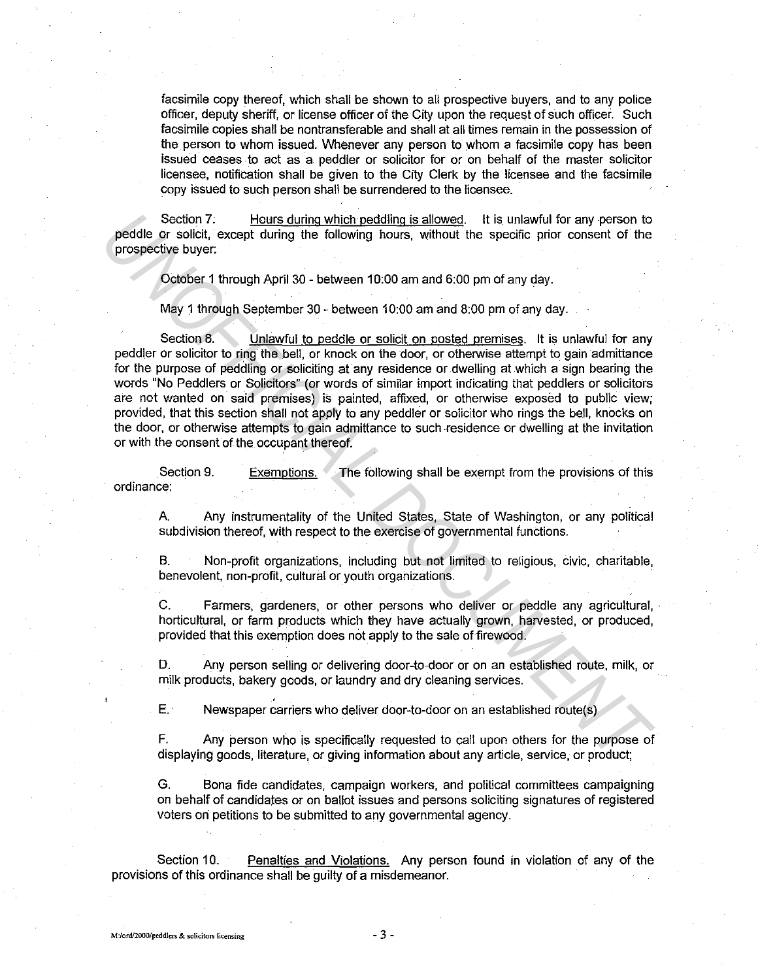facsimile copy thereof, which shall be shown to all prospective buyers, and to any police officer, deputy sheriff, or license officer of the City upon the request of such officer. Such facsimile copies shall be nontransferable and shall at all times remain in the possession of the person to whom issued. Whenever any person to whom a facsimile copy has been issued ceases to act as a peddler or solicitor for or on behalf of the master solicitor licensee, notification shall be given to the City Clerk by the licensee and the facsimile copy issued to such person shall be surrendered to the licensee.

Section 7. Hours during which peddling is allowed. It is unlawful for any person to peddle or solicit, except during the following hours, without the specific prior consent of the prospective buyer:

October 1 through April 30 - between 10:00 am and 6:00 pm of any day.

May 1 through September 30 - between 10:00 am and 8:00 pm of any day.

Section 8. Unlawful to peddle or solicit on posted premises. It is unlawful for any peddler or solicitor to ring the bell, or knock on the door, or otherwise attempt to gain admittance for the purpose of peddling or soliciting at any residence or dwelling at which a sign bearing the words "No Peddlers or Solicitors" (or words of similar import indicating that peddlers or solicitors are not wanted on said premises) is painted, affixed, or otherwise exposed to public view; provided, that this section shall not apply to any peddler or solicitor who rings the bell, knocks on the door, or otherwise attempts to gain admittance to such residence or dwelling at the invitation or with the consent of the occupant thereof. Section 7. Hours during which pedding is allowed. It is unlawful for any person to<br>preddle or solicit, except during the following hours, without the specific prior consent of the<br>prospective buyer.<br>October 1 through April

Section 9. ordinance: Exemptions. The following shall be exempt from the provisions of this

A. Any instrumentality of the United States, State of Washington, or any political subdivision thereof, with respect to the exercise of governmental functions.

B. Non-profit organizations, including but not limited to religious, civic, charitable, benevolent, non-profit, cultural or youth organizations.

C. Farmers, gardeners, or other persons who deliver or peddle any agricultural, horticultural, or farm products which they have actually grown, harvested, or produced, provided that this exemption does not apply to the sale of firewood.

D. Any person selling or delivering door-to-door or on an established route, milk, or milk products, bakery goods, or laundry and dry cleaning services.

E. Newspaper carriers who deliver door-to-door on an established route(s)

F. Any person who is specifically requested to call upon others for the purpose of displaying goods, literature, or giving information about any article, service, or product;

G. Bona fide candidates, campaign workers, and political committees campaigning on behalf of candidates or on ballot issues and persons soliciting signatures of registered voters on petitions to be submitted to any governmental agency.

Section 10. Penalties and Violations. Any person found in violation of any of the provisions of this ordinance shall be guilty of a misdemeanor.